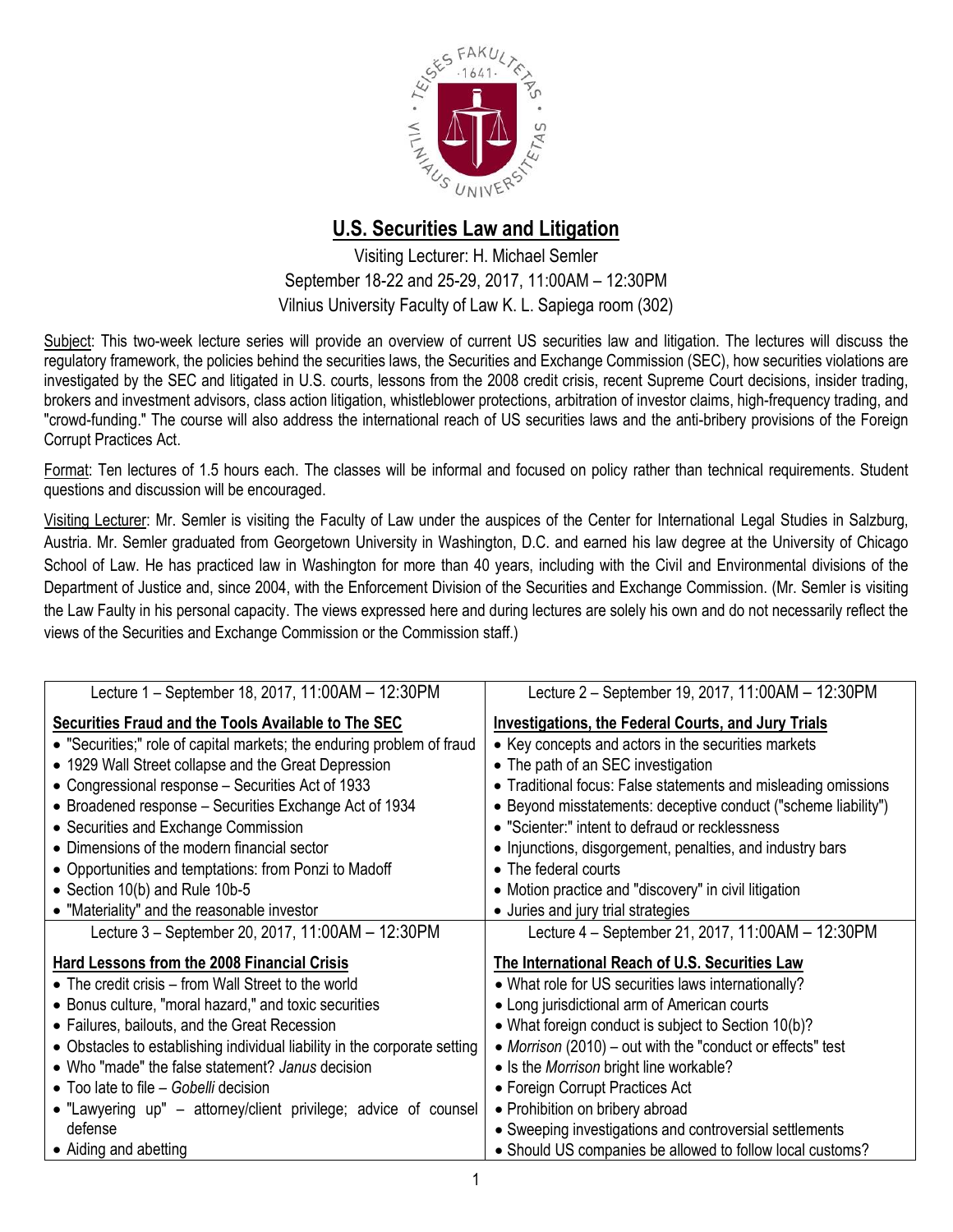

## **U.S. Securities Law and Litigation**

Visiting Lecturer: H. Michael Semler September 18-22 and 25-29, 2017, 11:00AM – 12:30PM Vilnius University Faculty of Law K. L. Sapiega room (302)

Subject: This two-week lecture series will provide an overview of current US securities law and litigation. The lectures will discuss the regulatory framework, the policies behind the securities laws, the Securities and Exchange Commission (SEC), how securities violations are investigated by the SEC and litigated in U.S. courts, lessons from the 2008 credit crisis, recent Supreme Court decisions, insider trading, brokers and investment advisors, class action litigation, whistleblower protections, arbitration of investor claims, high-frequency trading, and "crowd-funding." The course will also address the international reach of US securities laws and the anti-bribery provisions of the Foreign Corrupt Practices Act.

Format: Ten lectures of 1.5 hours each. The classes will be informal and focused on policy rather than technical requirements. Student questions and discussion will be encouraged.

Visiting Lecturer: Mr. Semler is visiting the Faculty of Law under the auspices of the Center for International Legal Studies in Salzburg, Austria. Mr. Semler graduated from Georgetown University in Washington, D.C. and earned his law degree at the University of Chicago School of Law. He has practiced law in Washington for more than 40 years, including with the Civil and Environmental divisions of the Department of Justice and, since 2004, with the Enforcement Division of the Securities and Exchange Commission. (Mr. Semler is visiting the Law Faulty in his personal capacity. The views expressed here and during lectures are solely his own and do not necessarily reflect the views of the Securities and Exchange Commission or the Commission staff.)

| Lecture 1 – September 18, 2017, 11:00AM – 12:30PM                         | Lecture 2 – September 19, 2017, 11:00AM – 12:30PM              |
|---------------------------------------------------------------------------|----------------------------------------------------------------|
| Securities Fraud and the Tools Available to The SEC                       | <b>Investigations, the Federal Courts, and Jury Trials</b>     |
| • "Securities;" role of capital markets; the enduring problem of fraud    | • Key concepts and actors in the securities markets            |
| • 1929 Wall Street collapse and the Great Depression                      | • The path of an SEC investigation                             |
| • Congressional response – Securities Act of 1933                         | • Traditional focus: False statements and misleading omissions |
| • Broadened response – Securities Exchange Act of 1934                    | • Beyond misstatements: deceptive conduct ("scheme liability") |
| • Securities and Exchange Commission                                      | • "Scienter:" intent to defraud or recklessness                |
| • Dimensions of the modern financial sector                               | • Injunctions, disgorgement, penalties, and industry bars      |
| • Opportunities and temptations: from Ponzi to Madoff                     | • The federal courts                                           |
| • Section 10(b) and Rule 10b-5                                            | • Motion practice and "discovery" in civil litigation          |
| • "Materiality" and the reasonable investor                               | • Juries and jury trial strategies                             |
| Lecture 3 - September 20, 2017, 11:00AM - 12:30PM                         | Lecture 4 - September 21, 2017, 11:00AM - 12:30PM              |
| Hard Lessons from the 2008 Financial Crisis                               | The International Reach of U.S. Securities Law                 |
| • The credit crisis – from Wall Street to the world                       | • What role for US securities laws internationally?            |
| • Bonus culture, "moral hazard," and toxic securities                     | • Long jurisdictional arm of American courts                   |
| • Failures, bailouts, and the Great Recession                             | • What foreign conduct is subject to Section 10(b)?            |
| • Obstacles to establishing individual liability in the corporate setting | • Morrison (2010) – out with the "conduct or effects" test     |
| • Who "made" the false statement? Janus decision                          | • Is the Morrison bright line workable?                        |
| • Too late to file – Gobelli decision                                     | • Foreign Corrupt Practices Act                                |
| • "Lawyering up" – attorney/client privilege; advice of counsel           | • Prohibition on bribery abroad                                |
| defense                                                                   | • Sweeping investigations and controversial settlements        |
| • Aiding and abetting                                                     | • Should US companies be allowed to follow local customs?      |